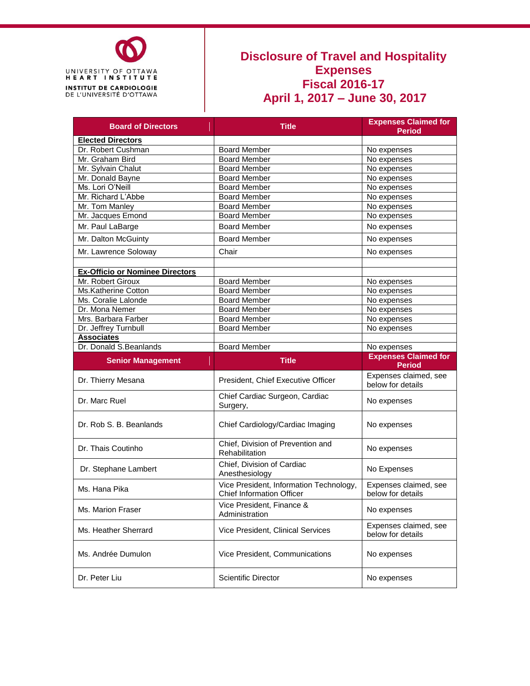

## **Disclosure of Travel and Hospitality Expenses Fiscal 2016-17 April 1, 2017 – June 30, 2017**

| <b>Board of Directors</b>              | <b>Title</b>                                                                | <b>Expenses Claimed for</b>                |  |  |
|----------------------------------------|-----------------------------------------------------------------------------|--------------------------------------------|--|--|
|                                        |                                                                             | <b>Period</b>                              |  |  |
| <b>Elected Directors</b>               |                                                                             |                                            |  |  |
| Dr. Robert Cushman                     | <b>Board Member</b>                                                         | No expenses                                |  |  |
| Mr. Graham Bird                        | <b>Board Member</b>                                                         | No expenses                                |  |  |
| Mr. Sylvain Chalut                     | <b>Board Member</b>                                                         | No expenses                                |  |  |
| Mr. Donald Bayne                       | <b>Board Member</b>                                                         | No expenses                                |  |  |
| Ms. Lori O'Neill                       | <b>Board Member</b>                                                         | No expenses                                |  |  |
| Mr. Richard L'Abbe                     | <b>Board Member</b>                                                         | No expenses                                |  |  |
| Mr. Tom Manley                         | <b>Board Member</b>                                                         | No expenses                                |  |  |
| Mr. Jacques Emond                      | <b>Board Member</b>                                                         | No expenses                                |  |  |
| Mr. Paul LaBarge                       | <b>Board Member</b>                                                         | No expenses                                |  |  |
| Mr. Dalton McGuinty                    | <b>Board Member</b>                                                         | No expenses                                |  |  |
| Mr. Lawrence Soloway                   | Chair                                                                       | No expenses                                |  |  |
| <b>Ex-Officio or Nominee Directors</b> |                                                                             |                                            |  |  |
| Mr. Robert Giroux                      |                                                                             |                                            |  |  |
| Ms.Katherine Cotton                    | <b>Board Member</b>                                                         | No expenses                                |  |  |
|                                        | <b>Board Member</b>                                                         | No expenses                                |  |  |
| Ms. Coralie Lalonde                    | <b>Board Member</b>                                                         | No expenses                                |  |  |
| Dr. Mona Nemer                         | <b>Board Member</b>                                                         | No expenses                                |  |  |
| Mrs. Barbara Farber                    | <b>Board Member</b>                                                         | No expenses                                |  |  |
| Dr. Jeffrey Turnbull                   | <b>Board Member</b>                                                         | No expenses                                |  |  |
| <b>Associates</b>                      |                                                                             |                                            |  |  |
| Dr. Donald S.Beanlands                 | <b>Board Member</b>                                                         | No expenses                                |  |  |
|                                        |                                                                             |                                            |  |  |
| <b>Senior Management</b>               | <b>Title</b>                                                                | <b>Expenses Claimed for</b>                |  |  |
|                                        |                                                                             | <b>Period</b>                              |  |  |
| Dr. Thierry Mesana                     | President, Chief Executive Officer                                          | Expenses claimed, see<br>below for details |  |  |
| Dr. Marc Ruel                          | Chief Cardiac Surgeon, Cardiac<br>Surgery,                                  | No expenses                                |  |  |
| Dr. Rob S. B. Beanlands                | Chief Cardiology/Cardiac Imaging                                            | No expenses                                |  |  |
| Dr. Thais Coutinho                     | Chief, Division of Prevention and<br>Rehabilitation                         | No expenses                                |  |  |
| Dr. Stephane Lambert                   | Chief, Division of Cardiac<br>Anesthesiology                                | No Expenses                                |  |  |
| Ms. Hana Pika                          | Vice President, Information Technology,<br><b>Chief Information Officer</b> | Expenses claimed, see<br>below for details |  |  |
| Ms. Marion Fraser                      | Vice President, Finance &<br>Administration                                 | No expenses                                |  |  |
| Ms. Heather Sherrard                   | Vice President, Clinical Services                                           | Expenses claimed, see<br>below for details |  |  |
| Ms. Andrée Dumulon                     | Vice President, Communications                                              | No expenses                                |  |  |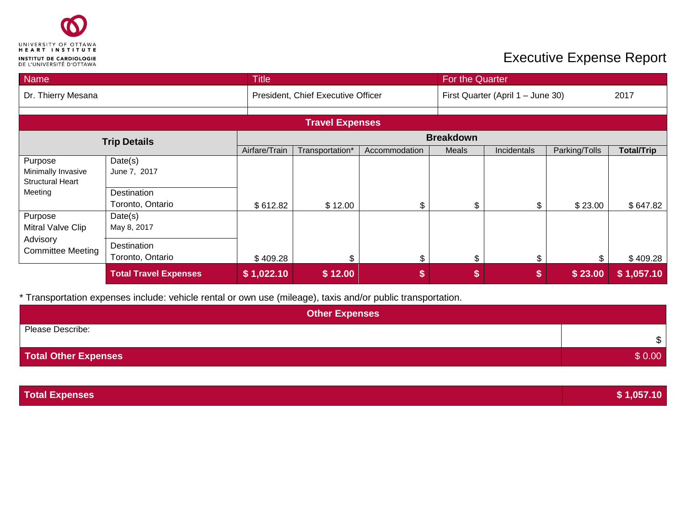

## **Executive Expense Report**

| <b>Name</b>                                              | <b>Title</b><br>For the Quarter |                  |                                    |               |                                   |             |               |                   |
|----------------------------------------------------------|---------------------------------|------------------|------------------------------------|---------------|-----------------------------------|-------------|---------------|-------------------|
| Dr. Thierry Mesana                                       |                                 |                  | President, Chief Executive Officer |               | First Quarter (April 1 - June 30) |             |               | 2017              |
|                                                          |                                 |                  | <b>Travel Expenses</b>             |               |                                   |             |               |                   |
| <b>Trip Details</b>                                      |                                 | <b>Breakdown</b> |                                    |               |                                   |             |               |                   |
|                                                          |                                 | Airfare/Train    | Transportation*                    | Accommodation | Meals                             | Incidentals | Parking/Tolls | <b>Total/Trip</b> |
| Purpose<br>Minimally Invasive<br><b>Structural Heart</b> | Date(s)<br>June 7, 2017         |                  |                                    |               |                                   |             |               |                   |
| Meeting                                                  | Destination<br>Toronto, Ontario | \$612.82         | \$12.00                            | \$            | \$                                | \$          | \$23.00       | \$647.82          |
| Purpose<br>Mitral Valve Clip                             | Date(s)<br>May 8, 2017          |                  |                                    |               |                                   |             |               |                   |
| Advisory<br><b>Committee Meeting</b>                     | Destination<br>Toronto, Ontario | \$409.28         | \$                                 | \$            | \$                                | \$          |               | \$409.28          |
|                                                          | <b>Total Travel Expenses</b>    | \$1,022.10       | \$12.00                            | \$            | \$                                | \$          | \$23.00       | \$1,057.10        |

\* Transportation expenses include: vehicle rental or own use (mileage), taxis and/or public transportation.

| <b>Other Expenses</b>       |        |  |  |  |
|-----------------------------|--------|--|--|--|
| Please Describe:            | \$     |  |  |  |
| <b>Total Other Expenses</b> | \$0.00 |  |  |  |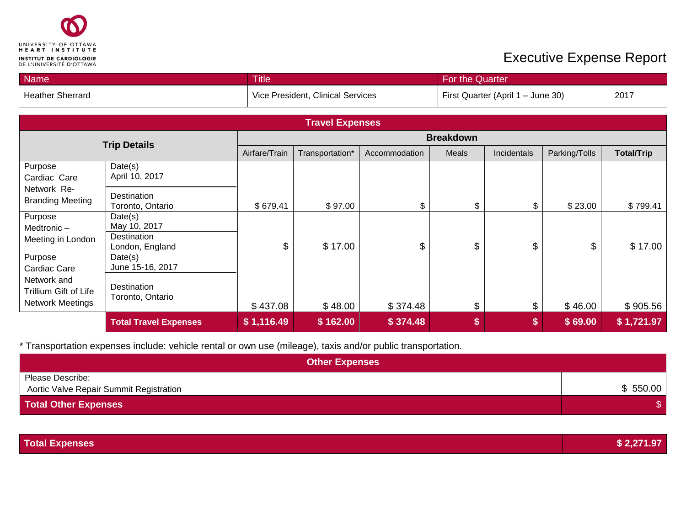

## **Executive Expense Report**

| <b>Name</b><br><b>Title</b>            |                                 |               |                                   | For the Quarter |               |                                   |               |                   |  |
|----------------------------------------|---------------------------------|---------------|-----------------------------------|-----------------|---------------|-----------------------------------|---------------|-------------------|--|
| <b>Heather Sherrard</b>                |                                 |               | Vice President, Clinical Services |                 |               | First Quarter (April 1 - June 30) |               |                   |  |
| <b>Travel Expenses</b>                 |                                 |               |                                   |                 |               |                                   |               |                   |  |
|                                        |                                 |               | <b>Breakdown</b>                  |                 |               |                                   |               |                   |  |
|                                        | <b>Trip Details</b>             | Airfare/Train | Transportation*                   | Accommodation   | Meals         | Incidentals                       | Parking/Tolls | <b>Total/Trip</b> |  |
| Purpose<br>Cardiac Care                | Date(s)<br>April 10, 2017       |               |                                   |                 |               |                                   |               |                   |  |
| Network Re-<br><b>Branding Meeting</b> | Destination<br>Toronto, Ontario | \$679.41      | \$97.00                           | \$              | \$            | \$                                | \$23.00       | \$799.41          |  |
| Purpose<br>Medtronic-                  | Date(s)<br>May 10, 2017         |               |                                   |                 |               |                                   |               |                   |  |
| Meeting in London                      | Destination<br>London, England  | \$            | \$17.00                           | $\mathfrak{S}$  | $\mathsf{\$}$ | \$                                | \$            | \$17.00           |  |
| Purpose<br>Cardiac Care                | Date(s)<br>June 15-16, 2017     |               |                                   |                 |               |                                   |               |                   |  |
| Network and<br>Trillium Gift of Life   | Destination<br>Toronto, Ontario |               |                                   |                 |               |                                   |               |                   |  |
| <b>Network Meetings</b>                |                                 | \$437.08      | \$48.00                           | \$374.48        | \$            | $\mathfrak{S}$                    | \$46.00       | \$905.56          |  |
|                                        | <b>Total Travel Expenses</b>    | \$1,116.49    | \$162.00                          | \$374.48        | \$            | \$                                | \$69.00       | \$1,721.97        |  |

\* Transportation expenses include: vehicle rental or own use (mileage), taxis and/or public transportation.

| <b>Other Expenses</b>                                       |          |
|-------------------------------------------------------------|----------|
| Please Describe:<br>Aortic Valve Repair Summit Registration | \$550.00 |
| <b>Total Other Expenses</b>                                 |          |

| <b>Total Expenses</b> | 271 97 |
|-----------------------|--------|
|                       |        |